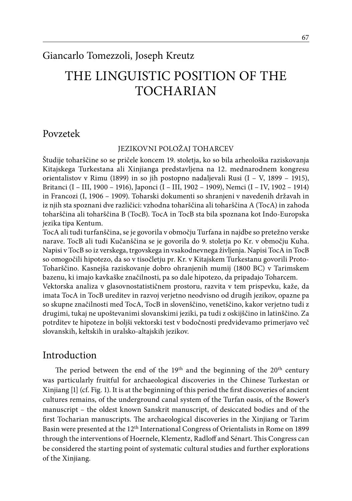# Giancarlo Tomezzoli, Joseph Kreutz

# THE LINGUISTIC POSITION OF THE TOCHARIAN

#### Povzetek

#### Jezikovni položaj Toharcev

Študije toharščine so se pričele koncem 19. stoletja, ko so bila arheološka raziskovanja Kitajskega Turkestana ali Xinjianga predstavljena na 12. mednarodnem kongresu orientalistov v Rimu (1899) in so jih postopno nadaljevali Rusi (I – V, 1899 – 1915), Britanci (I – III, 1900 – 1916), Japonci (I – III, 1902 – 1909), Nemci (I – IV, 1902 – 1914) in Francozi (I, 1906 – 1909). Toharski dokumenti so shranjeni v navedenih državah in iz njih sta spoznani dve različici: vzhodna toharščina ali toharščina A (TocA) in zahoda toharščina ali toharščina B (TocB). TocA in TocB sta bila spoznana kot Indo-Europska jezika tipa Kentum.

TocA ali tudi turfanščina, se je govorila v območju Turfana in najdbe so pretežno verske narave. TocB ali tudi Kučanščina se je govorila do 9. stoletja po Kr. v območju Kuha. Napisi v TocB so iz verskega, trgovskega in vsakodnevnega življenja. Napisi TocA in TocB so omogočili hipotezo, da so v tisočletju pr. Kr. v Kitajskem Turkestanu govorili Proto-Toharščino. Kasnejša raziskovanje dobro ohranjenih mumij (1800 BC) v Tarimskem bazenu, ki imajo kavkaške značilnosti, pa so dale hipotezo, da pripadajo Toharcem.

Vektorska analiza v glasovnostatističnem prostoru, razvita v tem prispevku, kaže, da imata TocA in TocB ureditev in razvoj verjetno neodvisno od drugih jezikov, opazne pa so skupne značilnosti med TocA, TocB in slovenščino, venetščino, kakor verjetno tudi z drugimi, tukaj ne upoštevanimi slovanskimi jeziki, pa tudi z oskijščino in latinščino. Za potrditev te hipoteze in boljši vektorski test v bodočnosti predvidevamo primerjavo več slovanskih, keltskih in uralsko-altajskih jezikov.

### Introduction

The period between the end of the  $19<sup>th</sup>$  and the beginning of the  $20<sup>th</sup>$  century was particularly fruitful for archaeological discoveries in the Chinese Turkestan or Xinjiang [1] (cf. Fig. 1). It is at the beginning of this period the first discoveries of ancient cultures remains, of the underground canal system of the Turfan oasis, of the Bower's manuscript – the oldest known Sanskrit manuscript, of desiccated bodies and of the first Tocharian manuscripts. The archaeological discoveries in the Xinjiang or Tarim Basin were presented at the 12th International Congress of Orientalists in Rome on 1899 through the interventions of Hoernele, Klementz, Radloff and Sénart. This Congress can be considered the starting point of systematic cultural studies and further explorations of the Xinjiang.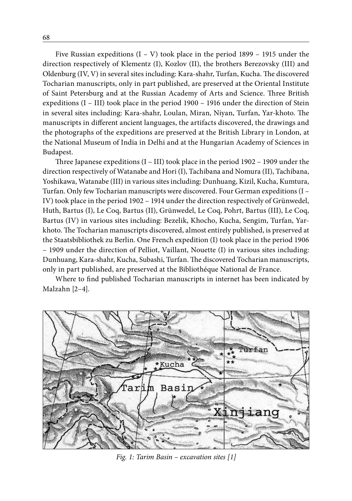Five Russian expeditions  $(I - V)$  took place in the period 1899 – 1915 under the direction respectively of Klementz (I), Kozlov (II), the brothers Berezovsky (III) and Oldenburg (IV, V) in several sites including: Kara-shahr, Turfan, Kucha. The discovered Tocharian manuscripts, only in part published, are preserved at the Oriental Institute of Saint Petersburg and at the Russian Academy of Arts and Science. Three British expeditions (I – III) took place in the period 1900 – 1916 under the direction of Stein in several sites including: Kara-shahr, Loulan, Miran, Niyan, Turfan, Yar-khoto. The manuscripts in different ancient languages, the artifacts discovered, the drawings and the photographs of the expeditions are preserved at the British Library in London, at the National Museum of India in Delhi and at the Hungarian Academy of Sciences in Budapest.

Three Japanese expeditions (I – III) took place in the period 1902 – 1909 under the direction respectively of Watanabe and Hori (I), Tachibana and Nomura (II), Tachibana, Yoshikawa, Watanabe (III) in various sites including: Dunhuang, Kizil, Kucha, Kumtura, Turfan. Only few Tocharian manuscripts were discovered. Four German expeditions (I – IV) took place in the period 1902 – 1914 under the direction respectively of Grünwedel, Huth, Bartus (I), Le Coq, Bartus (II), Grünwedel, Le Coq, Pohrt, Bartus (III), Le Coq, Bartus (IV) in various sites including: Bezelik, Khocho, Kucha, Sengim, Turfan, Yarkhoto. The Tocharian manuscripts discovered, almost entirely published, is preserved at the Staatsbibliothek zu Berlin. One French expedition (I) took place in the period 1906 – 1909 under the direction of Pelliot, Vaillant, Nouette (I) in various sites including: Dunhuang, Kara-shahr, Kucha, Subashi, Turfan. The discovered Tocharian manuscripts, only in part published, are preserved at the Bibliothéque National de France.

Where to find published Tocharian manuscripts in internet has been indicated by Malzahn [2–4].



*Fig. 1: Tarim Basin – excavation sites [1]*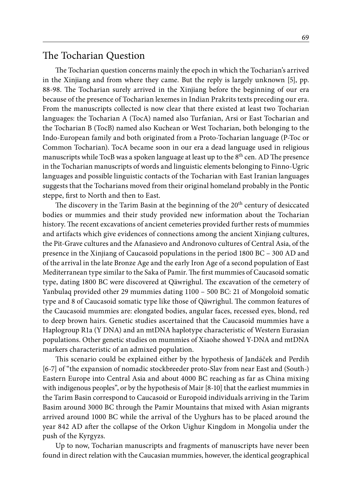#### The Tocharian Question

The Tocharian question concerns mainly the epoch in which the Tocharian's arrived in the Xinjiang and from where they came. But the reply is largely unknown [5], pp. 88-98. The Tocharian surely arrived in the Xinjiang before the beginning of our era because of the presence of Tocharian lexemes in Indian Prakrits texts preceding our era. From the manuscripts collected is now clear that there existed at least two Tocharian languages: the Tocharian A (TocA) named also Turfanian, Arsi or East Tocharian and the Tocharian B (TocB) named also Kuchean or West Tocharian, both belonging to the Indo-European family and both originated from a Proto-Tocharian language (P-Toc or Common Tocharian). TocA became soon in our era a dead language used in religious manuscripts while TocB was a spoken language at least up to the 8<sup>th</sup> cen. AD The presence in the Tocharian manuscripts of words and linguistic elements belonging to Finno-Ugric languages and possible linguistic contacts of the Tocharian with East Iranian languages suggests that the Tocharians moved from their original homeland probably in the Pontic steppe, first to North and then to East.

The discovery in the Tarim Basin at the beginning of the 20<sup>th</sup> century of desiccated bodies or mummies and their study provided new information about the Tocharian history. The recent excavations of ancient cemeteries provided further rests of mummies and artifacts which give evidences of connections among the ancient Xinjiang cultures, the Pit-Grave cultures and the Afanasievo and Andronovo cultures of Central Asia, of the presence in the Xinjiang of Caucasoid populations in the period 1800 BC – 300 AD and of the arrival in the late Bronze Age and the early Iron Age of a second population of East Mediterranean type similar to the Saka of Pamir. The first mummies of Caucasoid somatic type, dating 1800 BC were discovered at Qäwrighul. The excavation of the cemetery of Yanbulaq provided other 29 mummies dating 1100 – 500 BC: 21 of Mongoloid somatic type and 8 of Caucasoid somatic type like those of Qäwrighul. The common features of the Caucasoid mummies are: elongated bodies, angular faces, recessed eyes, blond, red to deep brown hairs. Genetic studies ascertained that the Caucasoid mummies have a Haplogroup R1a (Y DNA) and an mtDNA haplotype characteristic of Western Eurasian populations. Other genetic studies on mummies of Xiaohe showed Y-DNA and mtDNA markers characteristic of an admixed population.

This scenario could be explained either by the hypothesis of Jandáček and Perdih [6-7] of "the expansion of nomadic stockbreeder proto-Slav from near East and (South-) Eastern Europe into Central Asia and about 4000 BC reaching as far as China mixing with indigenous peoples", or by the hypothesis of Mair [8-10] that the earliest mummies in the Tarim Basin correspond to Caucasoid or Europoid individuals arriving in the Tarim Basim around 3000 BC through the Pamir Mountains that mixed with Asian migrants arrived around 1000 BC while the arrival of the Uyghurs has to be placed around the year 842 AD after the collapse of the Orkon Uighur Kingdom in Mongolia under the push of the Kyrgyzs.

Up to now, Tocharian manuscripts and fragments of manuscripts have never been found in direct relation with the Caucasian mummies, however, the identical geographical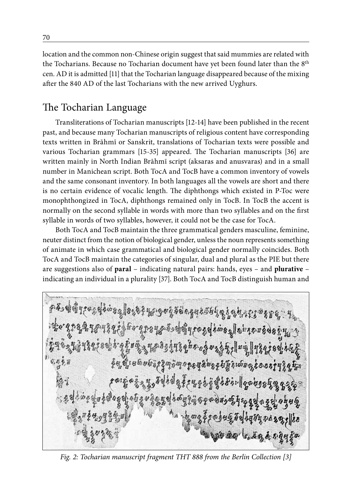location and the common non-Chinese origin suggest that said mummies are related with the Tocharians. Because no Tocharian document have yet been found later than the 8th cen. AD it is admitted [11] that the Tocharian language disappeared because of the mixing after the 840 AD of the last Tocharians with the new arrived Uyghurs.

# The Tocharian Language

Transliterations of Tocharian manuscripts [12-14] have been published in the recent past, and because many Tocharian manuscripts of religious content have corresponding texts written in Brāhmī or Sanskrit, translations of Tocharian texts were possible and various Tocharian grammars [15-35] appeared. The Tocharian manuscripts [36] are written mainly in North Indian Brāhmī script (aksaras and anusvaras) and in a small number in Manichean script. Both TocA and TocB have a common inventory of vowels and the same consonant inventory. In both languages all the vowels are short and there is no certain evidence of vocalic length. The diphthongs which existed in P-Toc were monophthongized in TocA, diphthongs remained only in TocB. In TocB the accent is normally on the second syllable in words with more than two syllables and on the first syllable in words of two syllables, however, it could not be the case for TocA.

Both TocA and TocB maintain the three grammatical genders masculine, feminine, neuter distinct from the notion of biological gender, unless the noun represents something of animate in which case grammatical and biological gender normally coincides. Both TocA and TocB maintain the categories of singular, dual and plural as the PIE but there are suggestions also of **paral** – indicating natural pairs: hands, eyes – and **plurative** – indicating an individual in a plurality [37]. Both TocA and TocB distinguish human and

 $32$  858} 5390 5500 99256 9230 930  $0587082$  $\frac{6}{2}$ क हे देख १२ के बा  $65000$  $\nu$ ns Doʻ

*Fig. 2: Tocharian manuscript fragment THT 888 from the Berlin Collection [3]*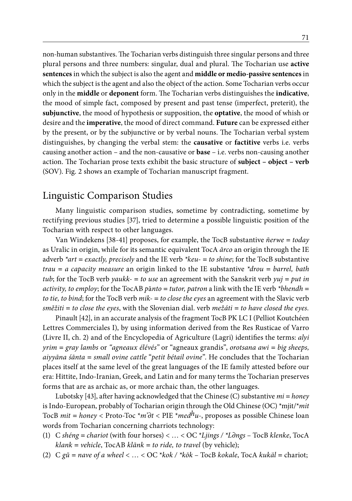non-human substantives. The Tocharian verbs distinguish three singular persons and three plural persons and three numbers: singular, dual and plural. The Tocharian use **active sentences** in which the subject is also the agent and **middle or medio-passive sentences** in which the subject is the agent and also the object of the action. Some Tocharian verbs occur only in the **middle** or **deponent** form. The Tocharian verbs distinguishes the **indicative**, the mood of simple fact, composed by present and past tense (imperfect, preterit), the **subjunctive**, the mood of hypothesis or supposition, the **optative**, the mood of whish or desire and the **imperative**, the mood of direct command. **Future** can be expressed either by the present, or by the subjunctive or by verbal nouns. The Tocharian verbal system distinguishes, by changing the verbal stem: the **causative** or **factitive** verbs i.e. verbs causing another action – and the non-causative or **base** – i.e. verbs non-causing another action. The Tocharian prose texts exhibit the basic structure of **subject – object – verb** (SOV). Fig. 2 shows an example of Tocharian manuscript fragment.

### Linguistic Comparison Studies

Many linguistic comparison studies, sometime by contradicting, sometime by rectifying previous studies [37], tried to determine a possible linguistic position of the Tocharian with respect to other languages.

Van Windekens [38-41] proposes, for example, the TocB substantive *ñerwe = today* as Uralic in origin, while for its semantic equivalent TocA *ārco* an origin through the IE adverb *\*art = exactly, precisely* and the IE verb *\*keu- = to shine*; for the TocB substantive *trau = a capacity measure* an origin linked to the IE substantive *\*drou = barrel, bath tub*; for the TocB verb *yaukk*- = *to use* an agreement with the Sanskrit verb *yuj* = *put in activity, to employ*; for the TocAB *p*ā*nto = tutor, patron* a link with the IE verb *\*bhendh = to tie, to bind*; for the TocB verb *mik- = to close the eyes* an agreement with the Slavic verb *směžiti = to close the eyes*, with the Slovenian dial. verb *mežáti = to have closed the eyes.*

Pinault [42], in an accurate analysis of the fragment TocB PK LC I (Pelliot Koutchéen Lettres Commerciales I), by using information derived from the Res Rusticae of Varro (Livre II, ch. 2) and of the Encyclopedia of Agriculture (Lagri) identifies the terms: *alyi yrim = gray lambs* or *"agneaux élévés"* or "agneaux grandis", *orotsana awi = big sheeps, aiyyāna śānta = small ovine cattle* "*petit bétail ovine*". He concludes that the Tocharian places itself at the same level of the great languages of the IE family attested before our era: Hittite, Indo-Iranian, Greek, and Latin and for many terms the Tocharian preserves forms that are as archaic as, or more archaic than, the other languages.

Lubotsky [43], after having acknowledged that the Chinese (C) substantive *mi = honey* is Indo-European, probably of Tocharian origin through the Old Chinese (OC) \*mjit/\**mit* TocB *mit = honey* < Proto-Toc \**m'∂t* < PIE \**medhu*-, proposes as possible Chinese loan words from Tocharian concerning charriots technology:

- (1) C *shéng = chariot* (with four horses) < … < OC \**Ljings / \*L∂ngs* TocB *klenke*, TocA *klank = vehicle*, TocAB *klānk = to ride, to travel* (by vehicle);
- (2)  $C g\tilde{u} = nave of a wheel < ... < OC * kok / *k\tilde{ok} TocB kokale, TocA kuk\tilde{u} = chariot;$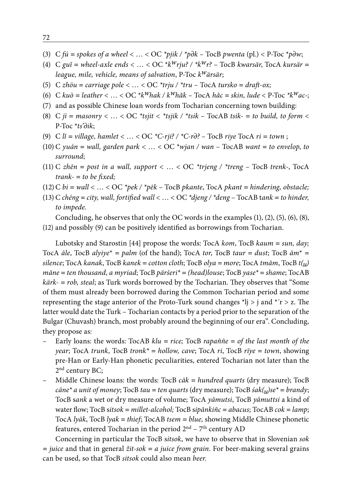- (3) C *fú = spokes of a wheel* < … < OC *\*pjik / \*p∂k*  TocB *pwenta* (pl.) < P-Toc \**p∂w*;
- (4) C *guĭ = wheel-axle ends* < … < OC \**kwrju? / \*kwr?* TocB *kwarsär*, TocA *kursär = league, mile, vehicle, means of salvation*, P-Toc *kwärsär*;
- (5) C *zhöu = carriage pole* < … < OC *\*trju / \*tru* TocA *tursko = draft-ox;*
- (6) C *kuò = leather* < … < OC \**kwhak / kwhăk*  TocA *hâc = skin, lude* < P-Toc *\*kwac*-;
- (7) and as possible Chinese loan words from Tocharian concerning town building:
- (8) C  $ji = masonry < ... < OC$  \*tsjit  $\lt$  \*tsjik / \*tsik TocAB tsik- = to build, to form  $\lt$ P-Toc \**ts'∂ik*;
- (9) C *lĭ = village, hamlet* < … < OC *\*C-rji? / \*C-r∂?*  TocB *riye* TocA *ri = town* ;
- (10) C *yuán = wall, garden park* < … < OC \**wjan / wan*  TocAB *want = to envelop*, *to surround*;
- (11) C *zhēn = post in a wall, support* < … < OC *\*trjeng / \*treng*  TocB *trenk*-, TocA *trank- = to be fixed;*
- (12)C *bi = wall* < … < OC *\*pek / \*pēk* TocB *pkante*, TocA *pkant = hindering, obstacle;*
- (13) C *chéng = city, wall, fortified wall* < … < OC *\*djeng / \*deng*  TocAB t*ank = to hinder, to impede.*

Concluding, he observes that only the OC words in the examples (1), (2), (5), (6), (8), (12) and possibly (9) can be positively identified as borrowings from Tocharian.

Lubotsky and Starostin [44] propose the words: TocA *kom*, TocB *kaum = sun, day;*  TocA  $\bar{a}$ le, TocB  $\bar{a}$ lyiye<sup>\*</sup> =  $\bar{p}$ alm (of the hand); TocA *tor*, TocB *taur* =  $\bar{d}$ ust; TocB  $\bar{a}$ m<sup>\*</sup> = *silence*; TocA *kanak*, TocB *kanek = cotton cloth*; TocB *olya = more*; TocA *tmām*, TocB *t(u) māne = ten thousand, a myriad*; TocB *pärśeri\* = (head)louse*; TocB *yase\* = shame*; TocAB

*kärk- = rob, steal*; as Turk words borrowed by the Tocharian. They observes that "Some of them must already been borrowed during the Common Tocharian period and some representing the stage anterior of the Proto-Turk sound changes  $*|j > j$  and  $*|r > z$ . The latter would date the Turk – Tocharian contacts by a period prior to the separation of the Bulgar (Chuvash) branch, most probably around the beginning of our era". Concluding, they propose as:

- Early loans: the words: TocAB *klu = rice;* TocB *rapaññe = of the last month of the year*; TocA *trunk*, TocB *tronk\* = hollow, cave*; TocA *ri*, TocB *rīye = town*, showing pre-Han or Early-Han phonetic peculiarities, entered Tocharian not later than the 2<sup>nd</sup> century BC;
- Middle Chinese loans: the words: TocB *cāk = hundred quarts* (dry measure); TocB *cāne\* a unit of money*; TocB *tau = ten quarts* (dry measure); TocB *śak(u)se\* = brandy*; TocB s*ank* a wet or dry measure of volume; TocA *yāmutsi*, TocB *yāmuttsi* a kind of water flow; TocB s*itsok = millet-alcohol;* TocB s*ipānkiñc = abacus*; TocAB *cok = lamp*; TocA *lyäk*, TocB *lyak = thief*; TocAB *tsem = blue,* showing Middle Chinese phonetic features, entered Tocharian in the period 2<sup>nd</sup> - 7<sup>th</sup> century AD

Concerning in particular the TocB s*itsok*, we have to observe that in Slovenian *sok = juice* and that in general *žit-sok = a juice from grain.* For beer-making several grains can be used, so that TocB *sitsok* could also mean *beer.*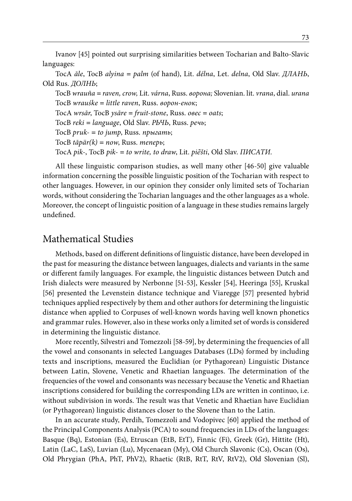Ivanov [45] pointed out surprising similarities between Tocharian and Balto-Slavic languages:

TocA *āle*, TocB *alyina = palm* (of hand), Lit. *délna*, Let. *delna*, Old Slav. *ДЛАНЬ*, Old Rus. *ДОЛНЬ*;

TocB *wrauña = raven, crow,* Lit. *várna*, Russ. *ворона;* Slovenian. lit. *vrana*, dial. *urana* TocB *wrauśke = little raven*, Russ. *ворон-енок*; TocA *wrsār*, TocB *ysāre = fruit-stone*, Russ. *овес = oats*;

TocB *reki = language*, Old Slav. *РЬЧЬ*, Russ. *речь*;

TocB *pruk- = to jump*, Russ. *прыгать*; TocB *tāpär(k) = now*, Russ. *теперь*;

TocA *pik-*, TocB *pik- = to write, to draw*, Lit. *piẽšti*, Old Slav. *ПИСАТИ*.

All these linguistic comparison studies, as well many other [46-50] give valuable information concerning the possible linguistic position of the Tocharian with respect to other languages. However, in our opinion they consider only limited sets of Tocharian words, without considering the Tocharian languages and the other languages as a whole. Moreover, the concept of linguistic position of a language in these studies remains largely undefined.

### Mathematical Studies

Methods, based on different definitions of linguistic distance, have been developed in the past for measuring the distance between languages, dialects and variants in the same or different family languages. For example, the linguistic distances between Dutch and Irish dialects were measured by Nerbonne [51-53], Kessler [54], Heeringa [55], Kruskal [56] presented the Levenstein distance technique and Viaregge [57] presented hybrid techniques applied respectively by them and other authors for determining the linguistic distance when applied to Corpuses of well-known words having well known phonetics and grammar rules. However, also in these works only a limited set of words is considered in determining the linguistic distance.

More recently, Silvestri and Tomezzoli [58-59], by determining the frequencies of all the vowel and consonants in selected Languages Databases (LDs) formed by including texts and inscriptions, measured the Euclidian (or Pythagorean) Linguistic Distance between Latin, Slovene, Venetic and Rhaetian languages. The determination of the frequencies of the vowel and consonants was necessary because the Venetic and Rhaetian inscriptions considered for building the corresponding LDs are written in continuo, i.e. without subdivision in words. The result was that Venetic and Rhaetian have Euclidian (or Pythagorean) linguistic distances closer to the Slovene than to the Latin.

In an accurate study, Perdih, Tomezzoli and Vodopivec [60] applied the method of the Principal Components Analysis (PCA) to sound frequencies in LDs of the languages: Basque (Bq), Estonian (Es), Etruscan (EtB, EtT), Finnic (Fi), Greek (Gr), Hittite (Ht), Latin (LaC, LaS), Luvian (Lu), Mycenaean (My), Old Church Slavonic (Cs), Oscan (Os), Old Phrygian (PhA, PhT, PhV2), Rhaetic (RtB, RtT, RtV, RtV2), Old Slovenian (Sl),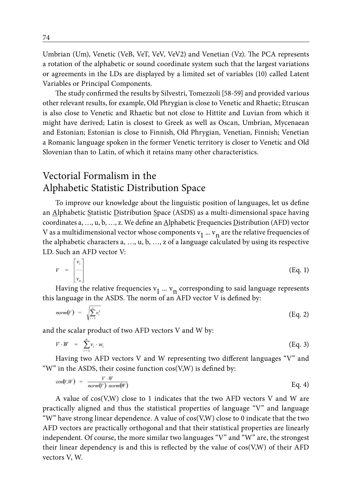Umbrian (Um), Venetic (VeB, VeT, VeV, VeV2) and Venetian (Vz). The PCA represents a rotation of the alphabetic or sound coordinate system such that the largest variations or agreements in the LDs are displayed by a limited set of variables (10) called Latent Variables or Principal Components.

The study confirmed the results by Silvestri, Tomezzoli [58-59] and provided various other relevant results, for example, Old Phrygian is close to Venetic and Rhaetic; Etruscan is also close to Venetic and Rhaetic but not close to Hittite and Luvian from which it might have derived; Latin is closest to Greek as well as Oscan, Umbrian, Mycenaean and Estonian; Estonian is close to Finnish, Old Phrygian, Venetian, Finnish; Venetian a Romanic language spoken in the former Venetic territory is closer to Venetic and Old Slovenian than to Latin, of which it retains many other characteristics.

# Vectorial Formalism in the Alphabetic Statistic Distribution Space

To improve our knowledge about the linguistic position of languages, let us define an Alphabetic Statistic Distribution Space (ASDS) as a multi-dimensional space having coordinates a, …, u, b, …, z. We define an Alphabetic Frequencies Distribution (AFD) vector V as a multidimensional vector whose components  $v_1$  ...  $v_n$  are the relative frequencies of the alphabetic characters a, …, u, b, …, z of a language calculated by using its respective LD. Such an AFD vector V:

$$
V = \begin{bmatrix} v_1 \\ v_n \end{bmatrix} \tag{Eq. 1}
$$

Having the relative frequencies  $v_1$  ...  $v_n$  corresponding to said language represents this language in the ASDS. The norm of an AFD vector V is defined by:

$$
norm(V) = \sqrt{\sum_{i=1}^{n} v_i^2}
$$
 (Eq. 2)

and the scalar product of two AFD vectors V and W by:

$$
V \cdot W = \sum_{i=1}^{n} v_i \cdot w_i \tag{Eq. 3}
$$

Having two AFD vectors V and W representing two different languages "V" and "W" in the ASDS, their cosine function cos(V,W) is defined by:

$$
\cos(V,W) = \frac{V \cdot W}{norm(V) \cdot norm(W)} \tag{Eq. 4}
$$

A value of cos(V,W) close to 1 indicates that the two AFD vectors V and W are practically aligned and thus the statistical properties of language "V" and language "W" have strong linear dependence. A value of  $cos(V,W)$  close to 0 indicate that the two AFD vectors are practically orthogonal and that their statistical properties are linearly independent. Of course, the more similar two languages "V" and "W" are, the strongest their linear dependency is and this is reflected by the value of cos(V,W) of their AFD vectors V, W.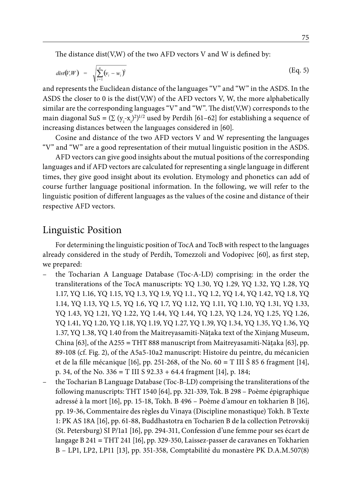The distance dist(V,W) of the two AFD vectors V and W is defined by:

$$
dist(V,W) = \sqrt{\sum_{i=1}^{n} (v_i - w_i)^2}
$$
 (Eq. 5)

and represents the Euclidean distance of the languages "V" and "W" in the ASDS. In the ASDS the closer to 0 is the dist(V,W) of the AFD vectors V, W, the more alphabetically similar are the corresponding languages "V" and "W". The dist(V,W) corresponds to the main diagonal SuS =  $(\Sigma (y_i - x_i)^2)^{1/2}$  used by Perdih [61–62] for establishing a sequence of increasing distances between the languages considered in [60].

Cosine and distance of the two AFD vectors V and W representing the languages "V" and "W" are a good representation of their mutual linguistic position in the ASDS.

AFD vectors can give good insights about the mutual positions of the corresponding languages and if AFD vectors are calculated for representing a single language in different times, they give good insight about its evolution. Etymology and phonetics can add of course further language positional information. In the following, we will refer to the linguistic position of different languages as the values of the cosine and distance of their respective AFD vectors.

#### Linguistic Position

For determining the linguistic position of TocA and TocB with respect to the languages already considered in the study of Perdih, Tomezzoli and Vodopivec [60], as first step, we prepared:

- the Tocharian A Language Database (Toc-A-LD) comprising: in the order the transliterations of the TocA manuscripts: YQ 1.30, YQ 1.29, YQ 1.32, YQ 1.28, YQ 1.17, YQ 1.16, YQ 1.15, YQ 1.3, YQ 1.9, YQ 1.1., YQ 1.2, YQ 1.4, YQ 1.42, YQ 1.8, YQ 1.14, YQ 1.13, YQ 1.5, YQ 1.6, YQ 1.7, YQ 1.12, YQ 1.11, YQ 1.10, YQ 1.31, YQ 1.33, YQ 1.43, YQ 1.21, YQ 1.22, YQ 1.44, YQ 1.44, YQ 1.23, YQ 1.24, YQ 1.25, YQ 1.26, YQ 1.41, YQ 1.20, YQ 1.18, YQ 1.19, YQ 1.27, YQ 1.39, YQ 1.34, YQ 1.35, YQ 1.36, YQ 1.37, YQ 1.38, YQ 1.40 from the Maitreyasamiti-Nāţaka text of the Xinjang Museum, China [63], of the A255 *=* THT 888 manuscript from Maitreyasamiti-Nāţaka [63], pp. 89-108 (cf. Fig. 2), of the A5a5-10a2 manuscript: Histoire du peintre, du mécanicien et de la fille mécanique [16], pp. 251-268, of the No. 60 *=* T III Š 85 6 fragment [14], p. 34, of the No. 336 *=* T III S 92.33 + 64.4 fragment [14], p. 184;
- the Tocharian B Language Database (Toc-B-LD) comprising the transliterations of the following manuscripts: THT 1540 [64], pp. 321-339, Tok. B 298 – Poème épigraphique adressé à la mort [16], pp. 15-18, Tokh. B 496 – Poème d'amour en tokharien B [16], pp. 19-36, Commentaire des règles du Vinaya (Discipline monastique) Tokh. B Texte 1: PK AS 18A [16], pp. 61-88, Buddhastotra en Tocharien B de la collection Petrovskij (St. Petersburg) SI P/1a1 [16], pp. 294-311, Confession d'une femme pour ses écart de langage B 241 *=* THT 241 [16], pp. 329-350, Laissez-passer de caravanes en Tokharien B – LP1, LP2, LP11 [13], pp. 351-358, Comptabilité du monastère PK D.A.M.507(8)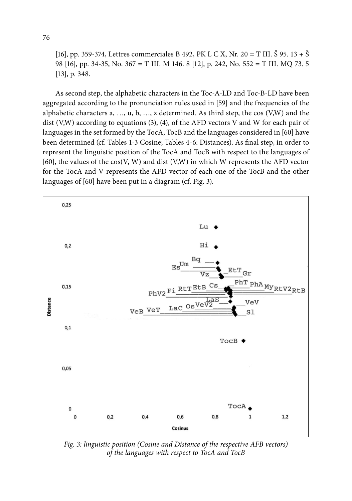[16], pp. 359-374, Lettres commerciales B 492, PK L C X, Nr. 20 *=* T III. Š 95. 13 + Š 98 [16], pp. 34-35, No. 367 *=* T III. M 146. 8 [12], p. 242, No. 552 *=* T III. MQ 73. 5 [13], p. 348.

As second step, the alphabetic characters in the Toc-A-LD and Toc-B-LD have been aggregated according to the pronunciation rules used in [59] and the frequencies of the alphabetic characters  $a, ..., u, b, ..., z$  determined. As third step, the cos  $(V,W)$  and the dist (V,W) according to equations (3), (4), of the AFD vectors V and W for each pair of languages in the set formed by the TocA, TocB and the languages considered in [60] have been determined (cf. Tables 1-3 Cosine; Tables 4-6: Distances). As final step, in order to represent the linguistic position of the TocA and TocB with respect to the languages of [60], the values of the cos(V, W) and dist (V,W) in which W represents the AFD vector for the TocA and V represents the AFD vector of each one of the TocB and the other languages of [60] have been put in a diagram (cf. Fig. 3).



*Fig. 3: linguistic position (Cosine and Distance of the respective AFB vectors) of the languages with respect to TocA and TocB*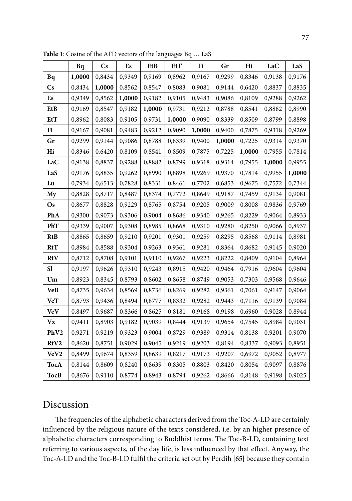|                        | Bq     | $\mathbf{C}\mathbf{s}$ | Es     | EtB    | EtT    | Fi     | Gr     | Hi     | LaC    | LaS    |
|------------------------|--------|------------------------|--------|--------|--------|--------|--------|--------|--------|--------|
| Bq                     | 1,0000 | 0,8434                 | 0,9349 | 0,9169 | 0,8962 | 0,9167 | 0,9299 | 0,8346 | 0,9138 | 0,9176 |
| $\mathbf{C}\mathbf{s}$ | 0,8434 | 1,0000                 | 0,8562 | 0,8547 | 0,8083 | 0,9081 | 0,9144 | 0,6420 | 0,8837 | 0,8835 |
| Es                     | 0,9349 | 0,8562                 | 1,0000 | 0,9182 | 0,9105 | 0,9483 | 0,9086 | 0,8109 | 0,9288 | 0,9262 |
| EtB                    | 0,9169 | 0,8547                 | 0,9182 | 1,0000 | 0,9731 | 0,9212 | 0,8788 | 0,8541 | 0,8882 | 0,8990 |
| <b>EtT</b>             | 0,8962 | 0,8083                 | 0,9105 | 0,9731 | 1,0000 | 0,9090 | 0,8339 | 0,8509 | 0,8799 | 0,8898 |
| Fi                     | 0,9167 | 0,9081                 | 0,9483 | 0,9212 | 0,9090 | 1,0000 | 0,9400 | 0,7875 | 0,9318 | 0,9269 |
| Gr                     | 0,9299 | 0,9144                 | 0,9086 | 0,8788 | 0,8339 | 0,9400 | 1,0000 | 0,7225 | 0,9314 | 0,9370 |
| Hi                     | 0,8346 | 0,6420                 | 0,8109 | 0,8541 | 0,8509 | 0,7875 | 0,7225 | 1,0000 | 0,7955 | 0,7814 |
| LaC                    | 0,9138 | 0,8837                 | 0,9288 | 0,8882 | 0,8799 | 0,9318 | 0,9314 | 0,7955 | 1,0000 | 0,9955 |
| LaS                    | 0,9176 | 0,8835                 | 0,9262 | 0,8990 | 0,8898 | 0,9269 | 0,9370 | 0,7814 | 0,9955 | 1,0000 |
| Lu                     | 0,7934 | 0,6513                 | 0,7828 | 0,8331 | 0,8461 | 0,7702 | 0,6853 | 0,9675 | 0,7572 | 0,7344 |
| My                     | 0,8828 | 0,8717                 | 0,8487 | 0,8374 | 0,7772 | 0,8649 | 0,9187 | 0,7459 | 0,9134 | 0,9081 |
| Os                     | 0,8677 | 0,8828                 | 0,9229 | 0,8765 | 0,8754 | 0,9205 | 0,9009 | 0,8008 | 0,9836 | 0,9769 |
| PhA                    | 0,9300 | 0,9073                 | 0,9306 | 0,9004 | 0,8686 | 0,9340 | 0,9265 | 0,8229 | 0,9064 | 0,8933 |
| PhT                    | 0,9339 | 0,9007                 | 0,9308 | 0,8985 | 0,8668 | 0,9310 | 0,9280 | 0,8250 | 0,9066 | 0,8937 |
| <b>RtB</b>             | 0,8865 | 0,8659                 | 0,9210 | 0,9201 | 0,9301 | 0,9259 | 0,8295 | 0,8568 | 0,9114 | 0,8981 |
| RtT                    | 0,8984 | 0,8588                 | 0,9304 | 0,9263 | 0,9361 | 0,9281 | 0,8364 | 0,8682 | 0,9145 | 0,9020 |
| RtV                    | 0,8712 | 0,8708                 | 0,9101 | 0,9110 | 0,9267 | 0,9223 | 0,8222 | 0,8409 | 0,9104 | 0,8964 |
| Sl                     | 0,9197 | 0,9626                 | 0,9310 | 0,9243 | 0,8915 | 0,9420 | 0,9464 | 0,7916 | 0,9604 | 0,9604 |
| Um                     | 0,8923 | 0,8345                 | 0,8793 | 0,8602 | 0,8658 | 0,8749 | 0,9053 | 0,7303 | 0,9568 | 0,9646 |
| VeB                    | 0,8735 | 0,9634                 | 0,8569 | 0,8736 | 0,8269 | 0,9282 | 0,9361 | 0,7061 | 0,9147 | 0,9064 |
| <b>VeT</b>             | 0,8793 | 0,9436                 | 0,8494 | 0,8777 | 0,8332 | 0,9282 | 0,9443 | 0,7116 | 0,9139 | 0,9084 |
| <b>VeV</b>             | 0,8497 | 0,9687                 | 0,8366 | 0,8625 | 0,8181 | 0,9168 | 0,9198 | 0,6960 | 0,9028 | 0,8944 |
| Vz                     | 0,9411 | 0,8903                 | 0,9182 | 0,9039 | 0,8444 | 0,9139 | 0,9654 | 0,7545 | 0,8984 | 0,9031 |
| PhV2                   | 0,9271 | 0,9219                 | 0,9323 | 0,9004 | 0,8729 | 0,9389 | 0,9314 | 0,8138 | 0,9201 | 0,9070 |
| RtV2                   | 0,8620 | 0,8751                 | 0,9029 | 0,9045 | 0,9219 | 0,9203 | 0,8194 | 0,8337 | 0,9093 | 0,8951 |
| VeV2                   | 0,8499 | 0,9674                 | 0,8359 | 0,8639 | 0,8217 | 0,9173 | 0,9207 | 0,6972 | 0,9052 | 0,8977 |
| TocA                   | 0,8144 | 0,8609                 | 0,8240 | 0,8639 | 0,8305 | 0,8803 | 0,8420 | 0,8054 | 0,9097 | 0,8876 |
| TocB                   | 0,8676 | 0,9110                 | 0,8774 | 0,8943 | 0,8794 | 0,9262 | 0,8666 | 0,8148 | 0,9198 | 0,9025 |

**Table 1**: Cosine of the AFD vectors of the languages Bq … LaS

# Discussion

The frequencies of the alphabetic characters derived from the Toc-A-LD are certainly influenced by the religious nature of the texts considered, i.e. by an higher presence of alphabetic characters corresponding to Buddhist terms. The Toc-B-LD, containing text referring to various aspects, of the day life, is less influenced by that effect. Anyway, the Toc-A-LD and the Toc-B-LD fulfil the criteria set out by Perdih [65] because they contain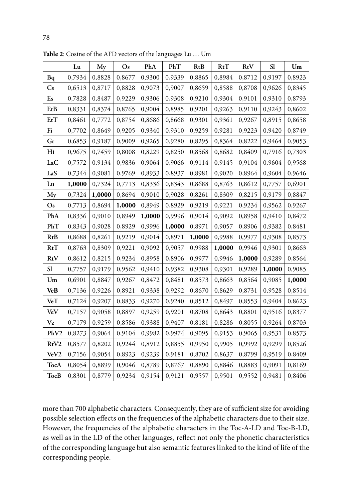|                        | Lu     | My     | $\mathbf{Os}$ | PhA    | PhT    | RtB    | RtT    | RtV    | <b>SI</b> | Um     |
|------------------------|--------|--------|---------------|--------|--------|--------|--------|--------|-----------|--------|
| Bq                     | 0,7934 | 0,8828 | 0,8677        | 0,9300 | 0,9339 | 0,8865 | 0,8984 | 0,8712 | 0,9197    | 0,8923 |
| $\mathbf{C}\mathbf{s}$ | 0,6513 | 0,8717 | 0,8828        | 0,9073 | 0,9007 | 0,8659 | 0,8588 | 0,8708 | 0,9626    | 0,8345 |
| Es                     | 0,7828 | 0,8487 | 0,9229        | 0,9306 | 0,9308 | 0,9210 | 0,9304 | 0,9101 | 0,9310    | 0,8793 |
| EtB                    | 0,8331 | 0,8374 | 0,8765        | 0,9004 | 0,8985 | 0,9201 | 0,9263 | 0,9110 | 0,9243    | 0,8602 |
| EtT                    | 0,8461 | 0,7772 | 0,8754        | 0,8686 | 0,8668 | 0,9301 | 0,9361 | 0,9267 | 0,8915    | 0,8658 |
| Fi                     | 0,7702 | 0,8649 | 0,9205        | 0,9340 | 0,9310 | 0,9259 | 0,9281 | 0,9223 | 0,9420    | 0,8749 |
| Gr                     | 0,6853 | 0,9187 | 0,9009        | 0,9265 | 0,9280 | 0,8295 | 0,8364 | 0,8222 | 0,9464    | 0,9053 |
| Hi                     | 0,9675 | 0,7459 | 0,8008        | 0,8229 | 0,8250 | 0,8568 | 0,8682 | 0,8409 | 0,7916    | 0,7303 |
| LaC                    | 0,7572 | 0,9134 | 0,9836        | 0,9064 | 0,9066 | 0,9114 | 0,9145 | 0,9104 | 0,9604    | 0,9568 |
| LaS                    | 0,7344 | 0,9081 | 0,9769        | 0,8933 | 0,8937 | 0,8981 | 0,9020 | 0,8964 | 0,9604    | 0,9646 |
| Lu                     | 1,0000 | 0,7324 | 0,7713        | 0,8336 | 0,8343 | 0,8688 | 0,8763 | 0,8612 | 0,7757    | 0,6901 |
| My                     | 0,7324 | 1,0000 | 0,8694        | 0,9010 | 0,9028 | 0,8261 | 0,8309 | 0,8215 | 0,9179    | 0,8847 |
| $\mathbf{O}$ s         | 0,7713 | 0,8694 | 1,0000        | 0,8949 | 0,8929 | 0,9219 | 0,9221 | 0,9234 | 0,9562    | 0,9267 |
| PhA                    | 0,8336 | 0,9010 | 0,8949        | 1,0000 | 0,9996 | 0,9014 | 0,9092 | 0,8958 | 0,9410    | 0,8472 |
| PhT                    | 0,8343 | 0,9028 | 0,8929        | 0,9996 | 1,0000 | 0,8971 | 0,9057 | 0,8906 | 0,9382    | 0,8481 |
| RtB                    | 0,8688 | 0,8261 | 0,9219        | 0,9014 | 0,8971 | 1,0000 | 0,9988 | 0,9977 | 0,9308    | 0,8573 |
| RtT                    | 0,8763 | 0,8309 | 0,9221        | 0,9092 | 0,9057 | 0,9988 | 1,0000 | 0,9946 | 0,9301    | 0,8663 |
| RtV                    | 0,8612 | 0,8215 | 0,9234        | 0,8958 | 0,8906 | 0,9977 | 0,9946 | 1,0000 | 0,9289    | 0,8564 |
| <b>S1</b>              | 0,7757 | 0,9179 | 0,9562        | 0,9410 | 0,9382 | 0,9308 | 0,9301 | 0,9289 | 1,0000    | 0,9085 |
| Um                     | 0,6901 | 0,8847 | 0,9267        | 0,8472 | 0,8481 | 0,8573 | 0,8663 | 0,8564 | 0,9085    | 1,0000 |
| <b>VeB</b>             | 0,7136 | 0,9226 | 0,8921        | 0,9338 | 0,9292 | 0,8670 | 0,8629 | 0,8731 | 0,9528    | 0,8514 |
| VeT                    | 0,7124 | 0,9207 | 0,8833        | 0,9270 | 0,9240 | 0,8512 | 0,8497 | 0,8553 | 0,9404    | 0,8623 |
| VeV                    | 0,7157 | 0,9058 | 0,8897        | 0,9259 | 0,9201 | 0,8708 | 0,8643 | 0,8801 | 0,9516    | 0,8377 |
| Vz                     | 0,7179 | 0,9259 | 0,8586        | 0,9388 | 0,9407 | 0,8181 | 0,8286 | 0,8055 | 0,9264    | 0,8703 |
| PhV2                   | 0,8273 | 0,9064 | 0,9104        | 0,9982 | 0,9974 | 0,9095 | 0,9153 | 0,9065 | 0,9531    | 0,8573 |
| RtV2                   | 0,8577 | 0,8202 | 0,9244        | 0,8912 | 0,8855 | 0,9950 | 0,9905 | 0,9992 | 0,9299    | 0,8526 |
| VeV <sub>2</sub>       | 0,7156 | 0,9054 | 0,8923        | 0,9239 | 0,9181 | 0,8702 | 0,8637 | 0,8799 | 0,9519    | 0,8409 |
| <b>TocA</b>            | 0,8054 | 0,8899 | 0,9046        | 0,8789 | 0,8767 | 0,8890 | 0,8846 | 0,8883 | 0,9091    | 0,8169 |
| TocB                   | 0,8301 | 0,8779 | 0,9234        | 0,9154 | 0,9121 | 0,9557 | 0,9501 | 0,9552 | 0,9481    | 0,8406 |

**Table 2**: Cosine of the AFD vectors of the languages Lu … Um

more than 700 alphabetic characters. Consequently, they are of sufficient size for avoiding possible selection effects on the frequencies of the alphabetic characters due to their size. However, the frequencies of the alphabetic characters in the Toc-A-LD and Toc-B-LD, as well as in the LD of the other languages, reflect not only the phonetic characteristics of the corresponding language but also semantic features linked to the kind of life of the corresponding people.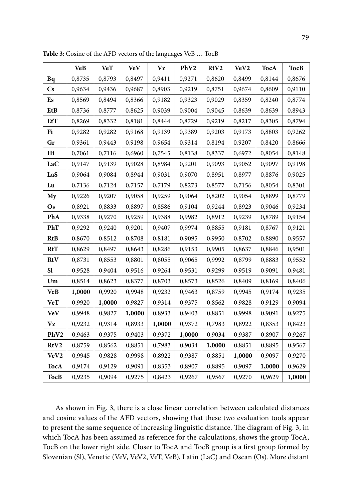|                        | <b>VeB</b> | <b>VeT</b> | <b>VeV</b> | Vz     | PhV <sub>2</sub> | RtV2   | VeV2   | <b>TocA</b> | <b>TocB</b> |
|------------------------|------------|------------|------------|--------|------------------|--------|--------|-------------|-------------|
| Bq                     | 0,8735     | 0,8793     | 0,8497     | 0,9411 | 0,9271           | 0,8620 | 0,8499 | 0,8144      | 0,8676      |
| $\mathbf{C}\mathbf{s}$ | 0,9634     | 0,9436     | 0,9687     | 0,8903 | 0,9219           | 0,8751 | 0,9674 | 0,8609      | 0,9110      |
| Es                     | 0,8569     | 0,8494     | 0,8366     | 0,9182 | 0,9323           | 0,9029 | 0,8359 | 0,8240      | 0,8774      |
| EtB                    | 0,8736     | 0,8777     | 0,8625     | 0,9039 | 0,9004           | 0,9045 | 0,8639 | 0,8639      | 0,8943      |
| EtT                    | 0,8269     | 0,8332     | 0,8181     | 0,8444 | 0,8729           | 0,9219 | 0,8217 | 0,8305      | 0,8794      |
| Fi                     | 0,9282     | 0,9282     | 0,9168     | 0,9139 | 0,9389           | 0,9203 | 0,9173 | 0,8803      | 0,9262      |
| Gr                     | 0,9361     | 0,9443     | 0,9198     | 0,9654 | 0,9314           | 0,8194 | 0,9207 | 0,8420      | 0,8666      |
| Hi                     | 0,7061     | 0,7116     | 0,6960     | 0,7545 | 0,8138           | 0,8337 | 0,6972 | 0,8054      | 0,8148      |
| LaC                    | 0,9147     | 0,9139     | 0,9028     | 0,8984 | 0,9201           | 0,9093 | 0,9052 | 0,9097      | 0,9198      |
| LaS                    | 0,9064     | 0,9084     | 0,8944     | 0,9031 | 0,9070           | 0,8951 | 0,8977 | 0,8876      | 0,9025      |
| Lu                     | 0,7136     | 0,7124     | 0,7157     | 0,7179 | 0,8273           | 0,8577 | 0,7156 | 0,8054      | 0,8301      |
| My                     | 0,9226     | 0,9207     | 0,9058     | 0,9259 | 0,9064           | 0,8202 | 0,9054 | 0,8899      | 0,8779      |
| Os                     | 0,8921     | 0,8833     | 0,8897     | 0,8586 | 0,9104           | 0,9244 | 0,8923 | 0,9046      | 0,9234      |
| PhA                    | 0,9338     | 0,9270     | 0,9259     | 0,9388 | 0,9982           | 0,8912 | 0,9239 | 0,8789      | 0,9154      |
| PhT                    | 0,9292     | 0,9240     | 0,9201     | 0,9407 | 0,9974           | 0,8855 | 0,9181 | 0,8767      | 0,9121      |
| <b>RtB</b>             | 0,8670     | 0,8512     | 0,8708     | 0,8181 | 0,9095           | 0,9950 | 0,8702 | 0,8890      | 0,9557      |
| RtT                    | 0,8629     | 0,8497     | 0,8643     | 0,8286 | 0,9153           | 0,9905 | 0,8637 | 0,8846      | 0,9501      |
| RtV                    | 0,8731     | 0,8553     | 0,8801     | 0,8055 | 0,9065           | 0,9992 | 0,8799 | 0,8883      | 0,9552      |
| S1                     | 0,9528     | 0,9404     | 0,9516     | 0,9264 | 0,9531           | 0,9299 | 0,9519 | 0,9091      | 0,9481      |
| Um                     | 0,8514     | 0,8623     | 0,8377     | 0,8703 | 0,8573           | 0,8526 | 0,8409 | 0,8169      | 0,8406      |
| <b>VeB</b>             | 1,0000     | 0,9920     | 0,9948     | 0,9232 | 0,9463           | 0,8759 | 0,9945 | 0,9174      | 0,9235      |
| <b>VeT</b>             | 0,9920     | 1,0000     | 0,9827     | 0,9314 | 0,9375           | 0,8562 | 0,9828 | 0,9129      | 0,9094      |
| VeV                    | 0,9948     | 0,9827     | 1,0000     | 0,8933 | 0,9403           | 0,8851 | 0,9998 | 0,9091      | 0,9275      |
| Vz                     | 0,9232     | 0,9314     | 0,8933     | 1,0000 | 0,9372           | 0,7983 | 0,8922 | 0,8353      | 0,8423      |
| PhV2                   | 0,9463     | 0,9375     | 0,9403     | 0,9372 | 1,0000           | 0,9034 | 0,9387 | 0,8907      | 0,9267      |
| RtV2                   | 0,8759     | 0,8562     | 0,8851     | 0,7983 | 0,9034           | 1,0000 | 0,8851 | 0,8895      | 0,9567      |
| VeV2                   | 0,9945     | 0,9828     | 0,9998     | 0,8922 | 0,9387           | 0,8851 | 1,0000 | 0,9097      | 0,9270      |
| TocA                   | 0,9174     | 0,9129     | 0,9091     | 0,8353 | 0,8907           | 0,8895 | 0,9097 | 1,0000      | 0,9629      |
| TocB                   | 0,9235     | 0,9094     | 0,9275     | 0,8423 | 0,9267           | 0,9567 | 0,9270 | 0,9629      | 1,0000      |

**Table 3**: Cosine of the AFD vectors of the languages VeB … TocB

As shown in Fig. 3, there is a close linear correlation between calculated distances and cosine values of the AFD vectors, showing that these two evaluation tools appear to present the same sequence of increasing linguistic distance. The diagram of Fig. 3, in which TocA has been assumed as reference for the calculations, shows the group TocA, TocB on the lower right side. Closer to TocA and TocB group is a first group formed by Slovenian (Sl), Venetic (VeV, VeV2, VeT, VeB), Latin (LaC) and Oscan (Os). More distant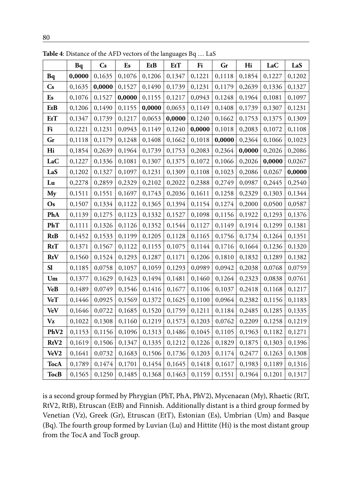|                                | Bq     | Cs     | Es     | EtB    | EtT    | Fi     | Gr     | Hi     | LaC    | LaS    |
|--------------------------------|--------|--------|--------|--------|--------|--------|--------|--------|--------|--------|
| Bq                             | 0,0000 | 0,1635 | 0,1076 | 0,1206 | 0,1347 | 0,1221 | 0,1118 | 0,1854 | 0,1227 | 0,1202 |
| $\mathbf{C}\mathbf{s}$         | 0,1635 | 0,0000 | 0,1527 | 0,1490 | 0,1739 | 0,1231 | 0,1179 | 0,2639 | 0,1336 | 0,1327 |
| Es                             | 0,1076 | 0,1527 | 0,0000 | 0,1155 | 0,1217 | 0,0943 | 0,1248 | 0,1964 | 0,1081 | 0,1097 |
| EtB                            | 0,1206 | 0,1490 | 0,1155 | 0,0000 | 0,0653 | 0,1149 | 0,1408 | 0,1739 | 0,1307 | 0,1231 |
| EtT                            | 0,1347 | 0,1739 | 0,1217 | 0,0653 | 0,0000 | 0,1240 | 0,1662 | 0,1753 | 0,1375 | 0,1309 |
| Fi                             | 0,1221 | 0,1231 | 0,0943 | 0,1149 | 0,1240 | 0,0000 | 0,1018 | 0,2083 | 0,1072 | 0,1108 |
| Gr                             | 0,1118 | 0,1179 | 0,1248 | 0,1408 | 0,1662 | 0,1018 | 0,0000 | 0,2364 | 0,1066 | 0,1023 |
| Hi                             | 0,1854 | 0,2639 | 0,1964 | 0,1739 | 0,1753 | 0,2083 | 0,2364 | 0,0000 | 0,2026 | 0,2086 |
| LaC                            | 0,1227 | 0,1336 | 0,1081 | 0,1307 | 0,1375 | 0,1072 | 0,1066 | 0,2026 | 0,0000 | 0,0267 |
| LaS                            | 0,1202 | 0,1327 | 0,1097 | 0,1231 | 0,1309 | 0,1108 | 0,1023 | 0,2086 | 0,0267 | 0,0000 |
| Lu                             | 0,2278 | 0,2859 | 0,2329 | 0,2102 | 0,2022 | 0,2388 | 0,2749 | 0,0987 | 0,2445 | 0,2540 |
| My                             | 0,1511 | 0,1551 | 0,1697 | 0,1743 | 0,2036 | 0,1611 | 0,1258 | 0,2329 | 0,1303 | 0,1344 |
| Os                             | 0,1507 | 0,1334 | 0,1122 | 0,1365 | 0,1394 | 0,1154 | 0,1274 | 0,2000 | 0,0500 | 0,0587 |
| PhA                            | 0,1139 | 0,1275 | 0,1123 | 0,1332 | 0,1527 | 0,1098 | 0,1156 | 0,1922 | 0,1293 | 0,1376 |
| PhT                            | 0,1111 | 0,1326 | 0,1126 | 0,1352 | 0,1544 | 0,1127 | 0,1149 | 0,1914 | 0,1299 | 0,1381 |
| RtB                            | 0,1452 | 0,1533 | 0,1199 | 0,1205 | 0,1128 | 0,1165 | 0,1756 | 0,1734 | 0,1264 | 0,1351 |
| RtT                            | 0,1371 | 0,1567 | 0,1122 | 0,1155 | 0,1075 | 0,1144 | 0,1716 | 0,1664 | 0,1236 | 0,1320 |
| RtV                            | 0,1560 | 0,1524 | 0,1293 | 0,1287 | 0,1171 | 0,1206 | 0,1810 | 0,1832 | 0,1289 | 0,1382 |
| <b>S1</b>                      | 0,1185 | 0,0758 | 0,1057 | 0,1059 | 0,1293 | 0,0989 | 0,0942 | 0,2038 | 0,0768 | 0,0759 |
| $\boldsymbol{U}\boldsymbol{m}$ | 0,1377 | 0,1629 | 0,1423 | 0,1494 | 0,1481 | 0,1460 | 0,1264 | 0,2323 | 0,0838 | 0,0761 |
| <b>VeB</b>                     | 0,1489 | 0,0749 | 0,1546 | 0,1416 | 0,1677 | 0,1106 | 0,1037 | 0,2418 | 0,1168 | 0,1217 |
| <b>VeT</b>                     | 0,1446 | 0,0925 | 0,1569 | 0,1372 | 0,1625 | 0,1100 | 0,0964 | 0,2382 | 0,1156 | 0,1183 |
| VeV                            | 0,1646 | 0,0722 | 0,1685 | 0,1520 | 0,1759 | 0,1211 | 0,1184 | 0,2485 | 0,1285 | 0,1335 |
| Vz                             | 0,1022 | 0,1308 | 0,1160 | 0,1219 | 0,1573 | 0,1203 | 0,0762 | 0,2209 | 0,1258 | 0,1219 |
| PhV2                           | 0,1153 | 0,1156 | 0,1096 | 0,1313 | 0,1486 | 0,1045 | 0,1105 | 0,1963 | 0,1182 | 0,1271 |
| RtV2                           | 0,1619 | 0,1506 | 0,1347 | 0,1335 | 0,1212 | 0,1226 | 0,1829 | 0,1875 | 0,1303 | 0,1396 |
| VeV2                           | 0,1641 | 0,0732 | 0,1683 | 0,1506 | 0,1736 | 0,1203 | 0,1174 | 0,2477 | 0,1263 | 0,1308 |
| <b>TocA</b>                    | 0,1789 | 0,1474 | 0,1701 | 0,1454 | 0,1645 | 0,1418 | 0,1617 | 0,1983 | 0,1189 | 0,1316 |
| <b>TocB</b>                    | 0,1565 | 0,1250 | 0,1485 | 0,1368 | 0,1463 | 0,1159 | 0,1551 | 0,1964 | 0,1201 | 0,1317 |

**Table 4**: Distance of the AFD vectors of the languages Bq … LaS

is a second group formed by Phrygian (PhT, PhA, PhV2), Mycenaean (My), Rhaetic (RtT, RtV2, RtB), Etruscan (EtB) and Finnish. Additionally distant is a third group formed by Venetian (Vz), Greek (Gr), Etruscan (EtT), Estonian (Es), Umbrian (Um) and Basque (Bq). The fourth group formed by Luvian (Lu) and Hittite (Hi) is the most distant group from the TocA and TocB group.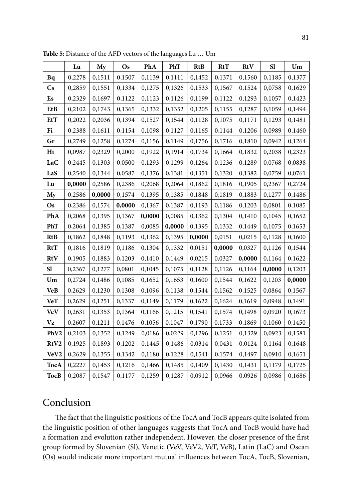|                  | Lu     | My     | Os     | PhA    | PhT    | <b>RtB</b> | RtT    | RtV    | <b>S1</b> | Um     |
|------------------|--------|--------|--------|--------|--------|------------|--------|--------|-----------|--------|
| Bq               | 0,2278 | 0,1511 | 0,1507 | 0,1139 | 0,1111 | 0,1452     | 0,1371 | 0,1560 | 0,1185    | 0,1377 |
| Cs               | 0,2859 | 0,1551 | 0,1334 | 0,1275 | 0,1326 | 0,1533     | 0,1567 | 0,1524 | 0,0758    | 0,1629 |
| Es               | 0,2329 | 0,1697 | 0,1122 | 0,1123 | 0,1126 | 0,1199     | 0,1122 | 0,1293 | 0,1057    | 0,1423 |
| EtB              | 0,2102 | 0,1743 | 0,1365 | 0,1332 | 0,1352 | 0,1205     | 0,1155 | 0,1287 | 0,1059    | 0,1494 |
| <b>EtT</b>       | 0,2022 | 0,2036 | 0,1394 | 0,1527 | 0,1544 | 0,1128     | 0,1075 | 0,1171 | 0,1293    | 0,1481 |
| Fi               | 0,2388 | 0,1611 | 0,1154 | 0,1098 | 0,1127 | 0,1165     | 0,1144 | 0,1206 | 0,0989    | 0,1460 |
| Gr               | 0,2749 | 0,1258 | 0,1274 | 0,1156 | 0,1149 | 0,1756     | 0,1716 | 0,1810 | 0,0942    | 0,1264 |
| Hi               | 0,0987 | 0,2329 | 0,2000 | 0,1922 | 0,1914 | 0,1734     | 0,1664 | 0,1832 | 0,2038    | 0,2323 |
| LaC              | 0,2445 | 0,1303 | 0,0500 | 0,1293 | 0,1299 | 0,1264     | 0,1236 | 0,1289 | 0,0768    | 0,0838 |
| LaS              | 0,2540 | 0,1344 | 0,0587 | 0,1376 | 0,1381 | 0,1351     | 0,1320 | 0,1382 | 0,0759    | 0,0761 |
| Lu               | 0,0000 | 0,2586 | 0,2386 | 0,2068 | 0,2064 | 0,1862     | 0,1816 | 0,1905 | 0,2367    | 0,2724 |
| My               | 0,2586 | 0,0000 | 0,1574 | 0,1395 | 0,1385 | 0,1848     | 0,1819 | 0,1883 | 0,1277    | 0,1486 |
| Os               | 0,2386 | 0,1574 | 0,0000 | 0,1367 | 0,1387 | 0,1193     | 0,1186 | 0,1203 | 0,0801    | 0,1085 |
| PhA              | 0,2068 | 0,1395 | 0,1367 | 0,0000 | 0,0085 | 0,1362     | 0,1304 | 0,1410 | 0,1045    | 0,1652 |
| PhT              | 0,2064 | 0,1385 | 0,1387 | 0,0085 | 0,0000 | 0,1395     | 0,1332 | 0,1449 | 0,1075    | 0,1653 |
| <b>RtB</b>       | 0,1862 | 0,1848 | 0,1193 | 0,1362 | 0,1395 | 0,0000     | 0,0151 | 0,0215 | 0,1128    | 0,1600 |
| RtT              | 0,1816 | 0,1819 | 0,1186 | 0,1304 | 0,1332 | 0,0151     | 0,0000 | 0,0327 | 0,1126    | 0,1544 |
| RtV              | 0,1905 | 0,1883 | 0,1203 | 0,1410 | 0,1449 | 0,0215     | 0,0327 | 0,0000 | 0,1164    | 0,1622 |
| SI               | 0,2367 | 0,1277 | 0,0801 | 0,1045 | 0,1075 | 0,1128     | 0,1126 | 0,1164 | 0,0000    | 0,1203 |
| Um               | 0,2724 | 0,1486 | 0,1085 | 0,1652 | 0,1653 | 0,1600     | 0,1544 | 0,1622 | 0,1203    | 0,0000 |
| <b>VeB</b>       | 0,2629 | 0,1230 | 0,1308 | 0,1096 | 0,1138 | 0,1544     | 0,1562 | 0,1525 | 0,0864    | 0,1567 |
| <b>VeT</b>       | 0,2629 | 0,1251 | 0,1337 | 0,1149 | 0,1179 | 0,1622     | 0,1624 | 0,1619 | 0,0948    | 0,1491 |
| <b>VeV</b>       | 0,2631 | 0,1353 | 0,1364 | 0,1166 | 0,1215 | 0,1541     | 0,1574 | 0,1498 | 0,0920    | 0,1673 |
| Vz               | 0,2607 | 0,1211 | 0,1476 | 0,1056 | 0,1047 | 0,1790     | 0,1733 | 0,1869 | 0,1060    | 0,1450 |
| PhV2             | 0,2103 | 0,1352 | 0,1249 | 0,0186 | 0,0229 | 0,1296     | 0,1251 | 0,1329 | 0,0923    | 0,1581 |
| RtV2             | 0,1925 | 0,1893 | 0,1202 | 0,1445 | 0,1486 | 0,0314     | 0,0431 | 0,0124 | 0,1164    | 0,1648 |
| VeV <sub>2</sub> | 0,2629 | 0,1355 | 0,1342 | 0,1180 | 0,1228 | 0,1541     | 0,1574 | 0,1497 | 0,0910    | 0,1651 |
| <b>TocA</b>      | 0,2227 | 0,1453 | 0,1216 | 0,1466 | 0,1485 | 0,1409     | 0,1430 | 0,1431 | 0,1179    | 0,1725 |
| TocB             | 0,2087 | 0,1547 | 0,1177 | 0,1259 | 0,1287 | 0,0912     | 0,0966 | 0,0926 | 0,0986    | 0,1686 |

**Table 5**: Distance of the AFD vectors of the languages Lu … Um

# Conclusion

The fact that the linguistic positions of the TocA and TocB appears quite isolated from the linguistic position of other languages suggests that TocA and TocB would have had a formation and evolution rather independent. However, the closer presence of the first group formed by Slovenian (Sl), Venetic (VeV, VeV2, VeT, VeB), Latin (LaC) and Oscan (Os) would indicate more important mutual influences between TocA, TocB, Slovenian,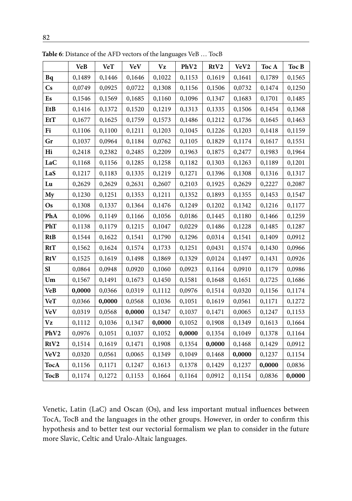| ۰.     |  |
|--------|--|
| ×<br>v |  |

|                  | <b>VeB</b> | <b>VeT</b> | <b>VeV</b> | Vz     | PhV2   | RtV2   | VeV2   | Toc A  | Toc B  |
|------------------|------------|------------|------------|--------|--------|--------|--------|--------|--------|
| Bq               | 0,1489     | 0,1446     | 0,1646     | 0,1022 | 0,1153 | 0,1619 | 0,1641 | 0,1789 | 0,1565 |
| Cs               | 0,0749     | 0,0925     | 0,0722     | 0,1308 | 0,1156 | 0,1506 | 0,0732 | 0,1474 | 0,1250 |
| Es               | 0,1546     | 0,1569     | 0,1685     | 0,1160 | 0,1096 | 0,1347 | 0,1683 | 0,1701 | 0,1485 |
| EtB              | 0,1416     | 0,1372     | 0,1520     | 0,1219 | 0,1313 | 0,1335 | 0,1506 | 0,1454 | 0,1368 |
| EtT              | 0,1677     | 0,1625     | 0,1759     | 0,1573 | 0,1486 | 0,1212 | 0,1736 | 0,1645 | 0,1463 |
| Fi               | 0,1106     | 0,1100     | 0,1211     | 0,1203 | 0,1045 | 0,1226 | 0,1203 | 0,1418 | 0,1159 |
| Gr               | 0,1037     | 0,0964     | 0,1184     | 0,0762 | 0,1105 | 0,1829 | 0,1174 | 0,1617 | 0,1551 |
| Hi               | 0,2418     | 0,2382     | 0,2485     | 0,2209 | 0,1963 | 0,1875 | 0,2477 | 0,1983 | 0,1964 |
| LaC              | 0,1168     | 0,1156     | 0,1285     | 0,1258 | 0,1182 | 0,1303 | 0,1263 | 0,1189 | 0,1201 |
| LaS              | 0,1217     | 0,1183     | 0,1335     | 0,1219 | 0,1271 | 0,1396 | 0,1308 | 0,1316 | 0,1317 |
| Lu               | 0,2629     | 0,2629     | 0,2631     | 0,2607 | 0,2103 | 0,1925 | 0,2629 | 0,2227 | 0,2087 |
| My               | 0,1230     | 0,1251     | 0,1353     | 0,1211 | 0,1352 | 0,1893 | 0,1355 | 0,1453 | 0,1547 |
| Os               | 0,1308     | 0,1337     | 0,1364     | 0,1476 | 0,1249 | 0,1202 | 0,1342 | 0,1216 | 0,1177 |
| PhA              | 0,1096     | 0,1149     | 0,1166     | 0,1056 | 0,0186 | 0,1445 | 0,1180 | 0,1466 | 0,1259 |
| PhT              | 0,1138     | 0,1179     | 0,1215     | 0,1047 | 0,0229 | 0,1486 | 0,1228 | 0,1485 | 0,1287 |
| RtB              | 0,1544     | 0,1622     | 0,1541     | 0,1790 | 0,1296 | 0,0314 | 0,1541 | 0,1409 | 0,0912 |
| RtT              | 0,1562     | 0,1624     | 0,1574     | 0,1733 | 0,1251 | 0,0431 | 0,1574 | 0,1430 | 0,0966 |
| RtV              | 0,1525     | 0,1619     | 0,1498     | 0,1869 | 0,1329 | 0,0124 | 0,1497 | 0,1431 | 0,0926 |
| <b>S1</b>        | 0,0864     | 0,0948     | 0,0920     | 0,1060 | 0,0923 | 0,1164 | 0,0910 | 0,1179 | 0,0986 |
| Um               | 0,1567     | 0,1491     | 0,1673     | 0,1450 | 0,1581 | 0,1648 | 0,1651 | 0,1725 | 0,1686 |
| VeB              | 0,0000     | 0,0366     | 0,0319     | 0,1112 | 0,0976 | 0,1514 | 0,0320 | 0,1156 | 0,1174 |
| VeT              | 0,0366     | 0,0000     | 0,0568     | 0,1036 | 0,1051 | 0,1619 | 0,0561 | 0,1171 | 0,1272 |
| <b>VeV</b>       | 0,0319     | 0,0568     | 0,0000     | 0,1347 | 0,1037 | 0,1471 | 0,0065 | 0,1247 | 0,1153 |
| Vz               | 0,1112     | 0,1036     | 0,1347     | 0,0000 | 0,1052 | 0,1908 | 0,1349 | 0,1613 | 0,1664 |
| PhV2             | 0,0976     | 0,1051     | 0,1037     | 0,1052 | 0,0000 | 0,1354 | 0,1049 | 0,1378 | 0,1164 |
| RtV2             | 0,1514     | 0,1619     | 0,1471     | 0,1908 | 0,1354 | 0,0000 | 0,1468 | 0,1429 | 0,0912 |
| VeV <sub>2</sub> | 0,0320     | 0,0561     | 0,0065     | 0,1349 | 0,1049 | 0,1468 | 0,0000 | 0,1237 | 0,1154 |
| TocA             | 0,1156     | 0,1171     | 0,1247     | 0,1613 | 0,1378 | 0,1429 | 0,1237 | 0,0000 | 0,0836 |
| <b>TocB</b>      | 0,1174     | 0,1272     | 0,1153     | 0,1664 | 0,1164 | 0,0912 | 0,1154 | 0,0836 | 0,0000 |

**Table 6**: Distance of the AFD vectors of the languages VeB … TocB

Venetic, Latin (LaC) and Oscan (Os), and less important mutual influences between TocA, TocB and the languages in the other groups. However, in order to confirm this hypothesis and to better test our vectorial formalism we plan to consider in the future more Slavic, Celtic and Uralo-Altaic languages.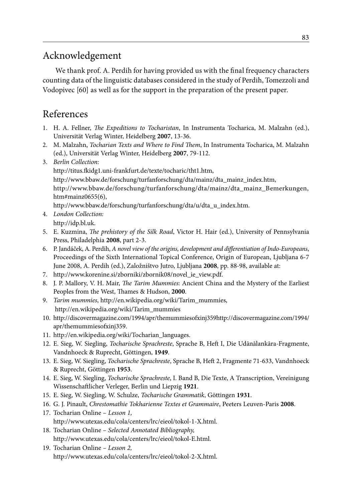# Acknowledgement

We thank prof. A. Perdih for having provided us with the final frequency characters counting data of the linguistic databases considered in the study of Perdih, Tomezzoli and Vodopivec [60] as well as for the support in the preparation of the present paper.

# References

- 1. H. A. Fellner, *The Expeditions to Tocharistan*, In Instrumenta Tocharica, M. Malzahn (ed.), Universität Verlag Winter, Heidelberg **2007**, 13-36.
- 2. M. Malzahn, *Tocharian Texts and Where to Find Them*, In Instrumenta Tocharica, M. Malzahn (ed.), Universität Verlag Winter, Heidelberg **2007**, 79-112.
- 3. *Berlin Collection:*

http://titus.fkidg1.uni-frankfurt.de/texte/tocharic/tht1.htm,

http://www.bbaw.de/forschung/turfanforschung/dta/mainz/dta\_mainz\_index.htm,

http://www.bbaw.de/forschung/turfanforschung/dta/mainz/dta\_mainz\_Bemerkungen, htm#mainz0655(6),

http://www.bbaw.de/forschung/turfanforschung/dta/u/dta\_u\_index.htm.

- 4. *London Collection:* http://idp.bl.uk.
- 5. E. Kuzmina, *The prehistory of the Silk Road*, Victor H. Hair (ed.), University of Pennsylvania Press, Philadelphia **2008**, part 2-3.
- 6. P. Jandáček, A. Perdih, *A novel view of the origins, development and differentiation of Indo-Europeans*, Proceedings of the Sixth International Topical Conference, Origin of European, Ljubljana 6-7 June 2008, A. Perdih (ed.), Založništvo Jutro, Ljubljana **2008**, pp. 88-98, available at:
- 7. http://www.korenine.si/zborniki/zbornik08/novel\_ie\_view.pdf.
- 8. J. P. Mallory, V. H. Mair, *The Tarim Mummies*: Ancient China and the Mystery of the Earliest Peoples from the West, Thames & Hudson, **2000**.
- 9. *Tarim mummies*, http://en.wikipedia.org/wiki/Tarim\_mummies, http://en.wikipedia.org/wiki/Tarim\_mummies
- 10. http://discovermagazine.com/1994/apr/themummiesofxinj359http://discovermagazine.com/1994/ apr/themummiesofxinj359.
- 11. http://en.wikipedia.org/wiki/Tocharian\_languages.
- 12. E. Sieg, W. Siegling, *Tocharische Sprachreste*, Sprache B, Heft I, Die Udānālankāra-Fragmente, Vandnhoeck & Ruprecht, Göttingen, **1949**.
- 13. E. Sieg, W. Siegling, *Tocharische Sprachreste*, Sprache B, Heft 2, Fragmente 71-633, Vandnhoeck & Ruprecht, Göttingen **1953**.
- 14. E. Sieg, W. Siegling, *Tocharische Sprachreste*, I. Band B, Die Texte, A Transcription, Vereinigung Wissenschaftlicher Verleger, Berlin und Liepzig **1921**.
- 15. E. Sieg, W. Siegling, W. Schulze, *Tocharische Grammatik*, Göttingen **1931**.
- 16. G. J. Pinault, *Chrestomathie Tokharienne Textes et Grammaire*, Peeters Leuven-Paris **2008**.
- 17. Tocharian Online *Lesson 1,* http://www.utexas.edu/cola/centers/lrc/eieol/tokol-1-X.html.
- 18. Tocharian Online *Selected Annotated Bibliography,* http://www.utexas.edu/cola/centers/lrc/eieol/tokol-E.html.
- 19. Tocharian Online  *Lesson 2,* http://www.utexas.edu/cola/centers/lrc/eieol/tokol-2-X.html.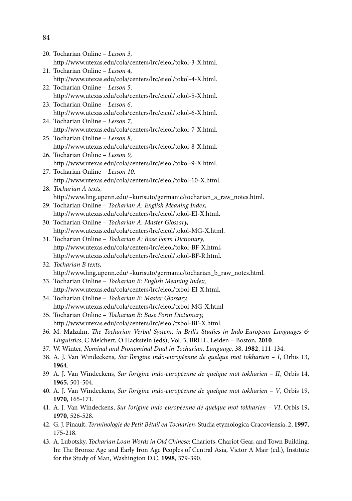| 20. Tocharian Online - Lesson 3,                                                                                    |
|---------------------------------------------------------------------------------------------------------------------|
| http://www.utexas.edu/cola/centers/lrc/eieol/tokol-3-X.html.                                                        |
| 21. Tocharian Online - Lesson 4,                                                                                    |
| http://www.utexas.edu/cola/centers/lrc/eieol/tokol-4-X.html.                                                        |
| 22. Tocharian Online - Lesson 5,                                                                                    |
| http://www.utexas.edu/cola/centers/lrc/eieol/tokol-5-X.html.                                                        |
| 23. Tocharian Online - Lesson 6,                                                                                    |
| http://www.utexas.edu/cola/centers/lrc/eieol/tokol-6-X.html.                                                        |
| 24. Tocharian Online - Lesson 7,                                                                                    |
| http://www.utexas.edu/cola/centers/lrc/eieol/tokol-7-X.html.                                                        |
| 25. Tocharian Online - Lesson 8,                                                                                    |
| http://www.utexas.edu/cola/centers/lrc/eieol/tokol-8-X.html.                                                        |
| 26. Tocharian Online - Lesson 9,                                                                                    |
| http://www.utexas.edu/cola/centers/lrc/eieol/tokol-9-X.html.                                                        |
| 27. Tocharian Online - Lesson 10,                                                                                   |
| http://www.utexas.edu/cola/centers/lrc/eieol/tokol-10-X.html.                                                       |
| 28. Tocharian A texts,                                                                                              |
| http://www.ling.upenn.edu/~kurisuto/germanic/tocharian_a_raw_notes.html.                                            |
| 29. Tocharian Online - Tocharian A: English Meaning Index,                                                          |
| http://www.utexas.edu/cola/centers/lrc/eieol/tokol-EI-X.html.                                                       |
| 30. Tocharian Online - Tocharian A: Master Glossary,                                                                |
| http://www.utexas.edu/cola/centers/lrc/eieol/tokol-MG-X.html.                                                       |
| 31. Tocharian Online - Tocharian A: Base Form Dictionary,                                                           |
| http://www.utexas.edu/cola/centers/lrc/eieol/tokol-BF-X.html,                                                       |
| http://www.utexas.edu/cola/centers/lrc/eieol/tokol-BF-R.html.                                                       |
| 32. Tocharian B texts,                                                                                              |
| http://www.ling.upenn.edu/~kurisuto/germanic/tocharian_b_raw_notes.html.                                            |
| 33. Tocharian Online - Tocharian B: English Meaning Index,                                                          |
| http://www.utexas.edu/cola/centers/lrc/eieol/txbol-EI-X.html.                                                       |
| 34. Tocharian Online - Tocharian B: Master Glossary,                                                                |
| http://www.utexas.edu/cola/centers/lrc/eieol/txbol-MG-X.html                                                        |
| 35. Tocharian Online - Tocharian B: Base Form Dictionary,                                                           |
| http://www.utexas.edu/cola/centers/lrc/eieol/txbol-BF-X.html.                                                       |
| 36. M. Malzahn, The Tocharian Verbal System, in Brill's Studies in Indo-European Languages &                        |
| Linguistics, C Melchert, O Hackstein (eds), Vol. 3, BRILL, Leiden - Boston, 2010.                                   |
| 37. W. Winter, Nominal and Pronominal Dual in Tocharian, Language, 38, 1982, 111-134.                               |
| 38. A. J. Van Windeckens, Sur l'origine indo-européenne de quelque mot tokharien - I, Orbis 13,                     |
| 1964.                                                                                                               |
| 39 A. J. Van Windeckens, Sur l'origine indo-européenne de quelque mot tokharien - II, Orbis 14,                     |
| 1965, 501-504.                                                                                                      |
| 40. A. J. Van Windeckens, Sur l'origine indo-européenne de quelque mot tokharien - V, Orbis 19,<br>1970, 165-171.   |
| 41. A. J. Van Windeckens, Sur l'origine indo-européenne de quelque mot tokharien - VI, Orbis 19,                    |
| 1970, 526-528.                                                                                                      |
|                                                                                                                     |
| 42. G. J. Pinault, Terminologie de Petit Bétail en Tocharien, Studia etymologica Cracoviensia, 2, 1997,<br>175-218. |
| 43. A. Lubotsky, Tocharian Loan Words in Old Chinese: Chariots, Chariot Gear, and Town Building.                    |
| In: The Bronze Age and Early Iron Age Peoples of Central Asia, Victor A Mair (ed.), Institute                       |
| for the Study of Man, Washington D.C. 1998, 379-390.                                                                |
|                                                                                                                     |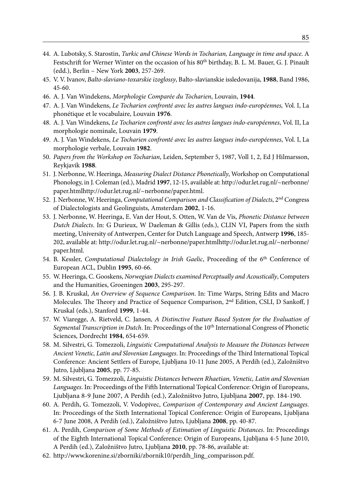- 44. A. Lubotsky, S. Starostin, *Turkic and Chinese Words in Tocharian, Language in time and space*. A Festschrift for Werner Winter on the occasion of his 80<sup>th</sup> birthday, B. L. M. Bauer, G. J. Pinault (edd.), Berlin – New York **2003**, 257-269.
- 45. V. V. Ivanov, *Balto-slaviano-toxarskie izoglossy*, Balto-slavianskie issledovanija, **1988**, Band 1986, 45-60.
- 46. A. J. Van Windekens, *Morphologie Comparée du Tocharien*, Louvain, **1944**.
- 47. A. J. Van Windekens, *Le Tocharien confronté avec les autres langues indo-européennes,* Vol. I, La phonétique et le vocabulaire, Louvain **1976**.
- 48. A. J. Van Windekens, *Le Tocharien confronté avec les autres langues indo-européennes*, Vol. II, La morphologie nominale, Louvain **1979**.
- 49. A. J. Van Windekens, *Le Tocharien confronté avec les autres langues indo-européennes*, Vol. I, La morphologie verbale, Louvain **1982**.
- 50. *Papers from the Workshop on Tocharian*, Leiden, September 5, 1987, Voll 1, 2, Ed J Hilmarsson, Reykjavik **1988**.
- 51. J. Nerbonne, W. Heeringa, *Measuring Dialect Distance Phonetically*, Workshop on Computational Phonology, in J. Coleman (ed.), Madrid **1997**, 12-15, available at: http://odur.let.rug.nl/~nerbonne/ paper.htmlhttp://odur.let.rug.nl/~nerbonne/paper.html.
- 52. J. Nerbonne, W. Heeringa, *Computational Comparison and Classification of Dialects*, 2nd Congress of Dialectologists and Geolinguists, Amsterdam **2002**, 1-16.
- 53. J. Nerbonne, W. Heeringa, E. Van der Hout, S. Otten, W. Van de Vis, *Phonetic Distance between Dutch Dialects*. In: G Durieux, W Daeleman & Gillis (eds.), CLIN VI, Papers from the sixth meeting, University of Antwerpen, Center for Dutch Language and Speech, Antwerp **1996**, 185- 202, available at: http://odur.let.rug.nl/~nerbonne/paper.htmlhttp://odur.let.rug.nl/~nerbonne/ paper.html.
- 54. B. Kessler, *Computational Dialectology in Irish Gaelic*, Proceeding of the 6th Conference of European ACL, Dublin **1995**, 60-66.
- 55. W. Heeringa, C. Gooskens, *Norwegian Dialects examined Perceptually and Acoustically*, Computers and the Humanities, Groeningen **2003**, 295-297.
- 56. J. B. Kruskal, *An Overview of Sequence Comparison*. In: Time Warps, String Edits and Macro Molecules. The Theory and Practice of Sequence Comparison, 2nd Edition, CSLI, D Sankoff, J Kruskal (eds.), Stanford **1999**, 1-44.
- 57. W. Viaregge, A. Rietveld, C. Jansen*, A Distinctive Feature Based System for the Evaluation of Segmental Transcription in Dutch*. In: Proceedings of the 10th International Congress of Phonetic Sciences, Dordrecht **1984**, 654-659.
- 58. M. Silvestri, G. Tomezzoli, *Linguistic Computational Analysis to Measure the Distances between Ancient Venetic, Latin and Slovenian Languages*. In: Proceedings of the Third International Topical Conference: Ancient Settlers of Europe, Ljubljana 10-11 June 2005, A Perdih (ed.), Založništvo Jutro, Ljubljana **2005**, pp. 77-85.
- 59. M. Silvestri, G. Tomezzoli, *Linguistic Distances between Rhaetian, Venetic, Latin and Slovenian Languages*. In: Proceedings of the Fifth International Topical Conference: Origin of Europeans, Ljubljana 8-9 June 2007, A Perdih (ed.), Založništvo Jutro, Ljubljana **2007**, pp. 184-190.
- 60. A. Perdih, G. Tomezzoli, V. Vodopivec, *Comparison of Contemporary and Ancient Languages.* In: Proceedings of the Sixth International Topical Conference: Origin of Europeans, Ljubljana 6-7 June 2008, A Perdih (ed.), Založništvo Jutro, Ljubljana **2008**, pp. 40-87.
- 61. A. Perdih, *Comparison of Some Methods of Estimation of Linguistic Distances*. In: Proceedings of the Eighth International Topical Conference: Origin of Europeans, Ljubljana 4-5 June 2010, A Perdih (ed.), Založništvo Jutro, Ljubljana **2010**, pp. 78-86, available at:
- 62. http://www.korenine.si/zborniki/zbornik10/perdih\_ling\_comparisson.pdf.